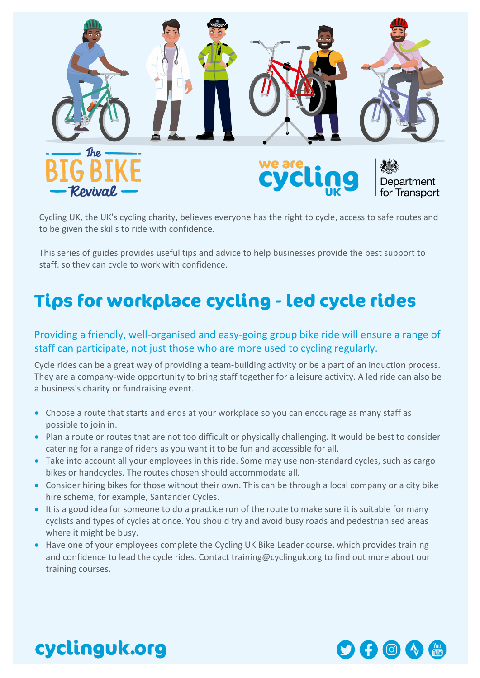

Cycling UK, the UK's cycling charity, believes everyone has the right to cycle, access to safe routes and to be given the skills to ride with confidence.

This series of guides provides useful tips and advice to help businesses provide the best support to staff, so they can cycle to work with confidence.

## **Tips for workplace cycling - led cycle rides**

## Providing a friendly, well-organised and easy-going group bike ride will ensure a range of staff can participate, not just those who are more used to cycling regularly.

Cycle rides can be a great way of providing a team-building activity or be a part of an induction process. They are a company-wide opportunity to bring staff together for a leisure activity. A led ride can also be a business's charity or fundraising event.

- Choose a route that starts and ends at your workplace so you can encourage as many staff as possible to join in.
- Plan a route or routes that are not too difficult or physically challenging. It would be best to consider catering for a range of riders as you want it to be fun and accessible for all.
- Take into account all your employees in this ride. Some may use non-standard cycles, such as cargo bikes or handcycles. The routes chosen should accommodate all.
- Consider hiring bikes for those without their own. This can be through a local company or a city bike hire scheme, for example, Santander Cycles.
- It is a good idea for someone to do a practice run of the route to make sure it is suitable for many cyclists and types of cycles at once. You should try and avoid busy roads and pedestrianised areas where it might be busy.
- Have one of your employees complete the Cycling UK Bike Leader course, which provides training and confidence to lead the cycle rides. Contact [training@cyclinguk.org](mailto:training@cyclinguk.org) to find out more about our training courses.



## cyclinguk.org